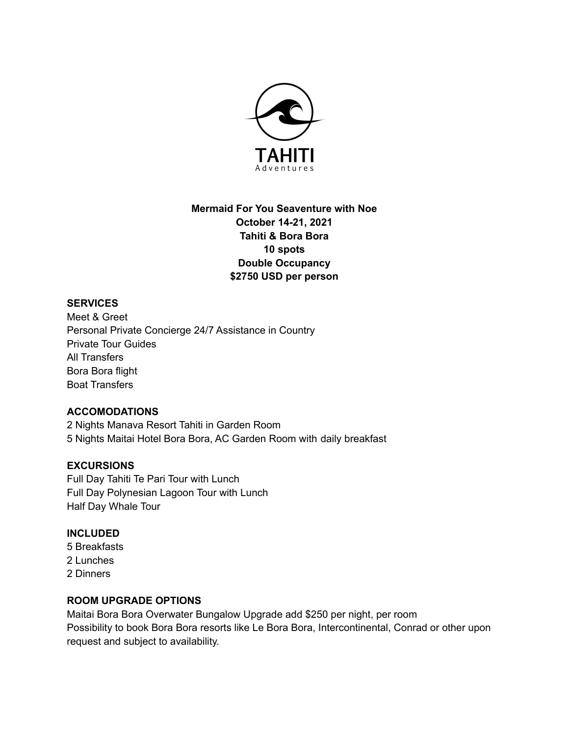

# **Mermaid For You Seaventure with Noe October 14-21, 2021 Tahiti & Bora Bora 10 spots Double Occupancy \$2750 USD per person**

## **SERVICES**

Meet & Greet Personal Private Concierge 24/7 Assistance in Country Private Tour Guides All Transfers Bora Bora flight Boat Transfers

# **ACCOMODATIONS**

2 Nights Manava Resort Tahiti in Garden Room 5 Nights Maitai Hotel Bora Bora, AC Garden Room with daily breakfast

# **EXCURSIONS**

Full Day Tahiti Te Pari Tour with Lunch Full Day Polynesian Lagoon Tour with Lunch Half Day Whale Tour

#### **INCLUDED**

5 Breakfasts 2 Lunches 2 Dinners

### **ROOM UPGRADE OPTIONS**

Maitai Bora Bora Overwater Bungalow Upgrade add \$250 per night, per room Possibility to book Bora Bora resorts like Le Bora Bora, Intercontinental, Conrad or other upon request and subject to availability.